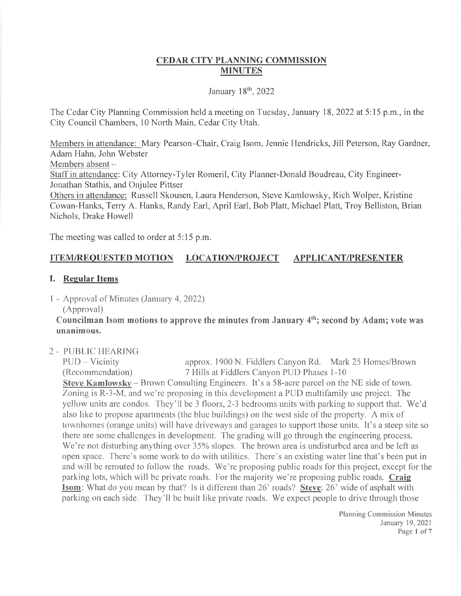## CEDAR CITY PLANNING COMMISSION **MINUTES**

### January  $18<sup>th</sup>$ , 2022

The Cedar City Planning Commission held a meeting on Tuesday, January 18, 2022 at 5:15 p.m., in the City Council Charnbers, 10 North Main, Cedar City Utah.

Members in attendance: Mary Pearson-Chair, Craig Isom, Jennie Hendricks, Jill Peterson, Ray Gardner, Adam Hahn, John Webster

Members absent -

Staff in attendance: City Attorney-Tyler Romeril, City Planner-Donald Boudreau, City Engineer-Jonathan Stathis, and Onjulee Pittser

Others in attendance: Russell Skousen, Laura Henderson, Steve Kamlowsky, Rich Wolper, Kristine Cowan-Hanks, Terry A. Hanks, Randy Earl, April Earl, Bob Platt, Michael Platt, Troy Belliston, Brian Nichols, Drake Howell

The meeting was called to order at 5:15 p.m.

# ITEM/REOUESTED MOTION LOCATION/PROJECT APPLICANT/PRESENTER

### I. Regular Items

<sup>1</sup>- Approval of Minutes (January 4,2022)

(Approval)

Councilman Isom motions to approve the minutes from January  $4<sup>th</sup>$ ; second by Adam; vote was unanimous.

<sup>2</sup>- PUBLIC HEARING

PUD – Vicinity approx. 1900 N. Fiddlers Canyon Rd. Mark 25 Homes/Brown (Recommendation) 7 Hills at Fiddlers Canyon PUD Phases 1-10 7 Hills at Fiddlers Canyon PUD Phases 1-10 Steve Kamlowskv - Brown Consulting Engineers. It's a 58-acre parcel on the NE side of town. Zoning is R-3-M, and we're proposing in this development a PUD multifamily use project. The yellow units are condos. They'll be 3 floors, 2-3 bedrooms units with parking to support that. We'd also like to propose apartments (the blue buildings) on the west side of the property. A mix of townhomes (orange units) will have driveways and garages to support those units. It's a steep site so there are some challenges in developrnent. The grading will go through the engineering process. We're not disturbing anything over 35% slopes. The brown area is undisturbed area and be left as open space. There's some work to do with utilities. There's an existing water line that's been put in and will be rerouted to follow the roads. We're proposing public roads for this project, except for the parking lots, which will be private roads. For the majority we're proposing public roads. Craig Isom: What do you mean by that? Is it different than 26' roads? Steve: 26' wide of asphalt with parking on each side. They'll be built like private roads. We expect people to drive through those

> Planning Commission Minutes January 19,2021 Page 1 of 7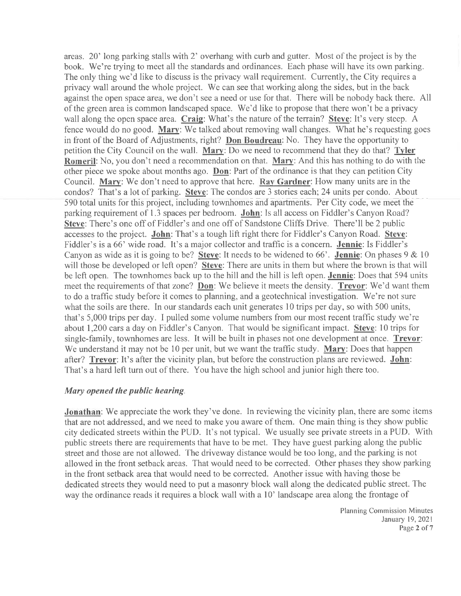areas. 20' long parking stalls with 2' overhang with curb and gutter. Most of the project is by the book. We're trying to meet all the standards and ordinances. Each phase will have its own parking. The only thing we'd like to discuss is the privacy wall requirement. Currently, the City requires a privacy wall around the whole project. We can see that working along the sides, but in the back against the open space area, we don't see a need or use for that. There will be nobody back there. All of the green area is common landscaped space. We'd like to propose that there won't be a privacy wall along the open space area. Craig: What's the nature of the terrain? Steve: It's very steep. A fence would do no good. Marv: We talked about removing wall changes. What he's requesting goes in front of the Board of Adjustments, right? Don Boudreau: No. They have the opportunity to petition the City Council on the wall. Mary: Do we need to recommend that they do that? Tyler Romeril: No, you don't need a recommendation on that. Mary: And this has nothing to do with the other piece we spoke about months ago. Don: Part of the ordinance is that they can petition City Council. Mary: We don't need to approve that here. Rav Gardner: How many units are in the condos? That's a lot of parking. Steve: The condos are 3 stories each:24 units per condo. About 590 total units for this project, including townhomes and apartments. Per City code, we meet the parking requirement of 1.3 spaces per bedroom. John: Is all access on Fiddler's Canyon Road? Steve: There's one off of Fiddler's and one off of Sandstone Cliffs Drive. There'll be 2 public accesses to the project. John: That's a tough lift right there for Fiddler's Canyon Road. Steve: Fiddler's is a 66' wide road. It's a major collector and traffic is a concern. Jennie: Is Fiddler's Canyon as wide as it is going to be? Steve: It needs to be widened to 66'. Jennie: On phases  $9 & 10$ will those be developed or left open? Steve: There are units in them but where the brown is that will be left open. The townhomes back up to the hill and the hill is left open. Jennie: Does that 594 units meet the requirements of that zone? Don: We believe it meets the density. Trevor: We'd want them to do a traffic study before it comes to planning, and a geotechnical investigation. We're not sure what the soils are there. In our standards each unit generates 10 trips per day, so with 500 units, that's 5,000 trips per day. I pulled some volume numbers from our most recent traffic study we're about 1,200 cars a day on Fiddler's Canyon. That would be significant impact. Steve: 10 trips for single-family, townhomes are less. It will be built in phases not one development at once. Trevor: We understand it may not be 10 per unit, but we want the traffic study. Mary: Does that happen after? Trevor: It's after the vicinity plan, but before the construction plans are reviewed. John: That's a hard left turn out of there. You have the high school and junior high there too.

### Mary opened the public hearing.

Jonathan: We appreciate the work they've done. In reviewing the vicinity plan, there are some items that are not addressed, and we need to make you aware of them. One main thing is they show public city dedicated streets within the PUD. It's not typical. We usually see private streets in a PUD. With public streets there are requirements that have to be met. They have guest parking along the public street and those are not allowed. The driveway distance would be too long, and the parking is not allowed in the front setback areas. That would need to be corrected. Other phases they show parking in the front setback area that would need to be corrected. Another issue with having those be dedicated streets they would need to put a masonry block wall along the dedicated public street. The way the ordinance reads it requires a block wall with a 10' landscape area along the frontage of

> Planning Commission Minutes January 19,2021 Page 2 of 7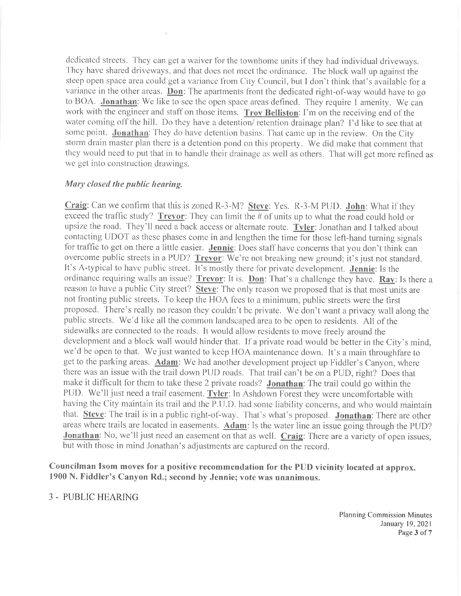dedicated streets. They can get a waiver for the townhome units if they had individual driveways. They have shared driveways, and that does not meet the ordinance. The block wall up against the steep open space area could get a variance from City Council, but I don't think that's available for a variance in the other areas. **Don**: The apartments front the dedicated right-of-way would have to go to BOA. Jonathan: We like to see the open space areas deflned. They require I amenity. We can work with the engineer and staff on those items. Troy Belliston: I'm on the receiving end of the water coming off the hill. Do they have a detention/ retention drainage plan? I'd like to see that at some point. Jonathan: They do have detention basins. That came up in the review. On the City storm drain master plan there is a detention pond on this property. We did make that comment that they would need to put that in to handle their drainage as well as others. That will get more refined as we get into construction drawings.

#### Mary closed the public hearing.

Craig: Can we confirm that this is zoned  $R-3-M$ ? Steve: Yes.  $R-3-M$  PUD. John: What if they exceed the traffic study? Trevor: They can limit the  $#$  of units up to what the road could hold or upsize the road. They'll need a back access or alternate route. Tyler: Jonathan and I talked about contacting UDOT as these phases come in and lengthen the time for those left-hand turning signals for traffic to get on there a little easier. Jennie: Does staff have concerns that you don't think can overcome public streets in a PUD? Trevor: We're not breaking new ground; it's just not standard. It's A-typical to have public street. It's mostly there for private development. Jennie: Is the ordinance requiring walls an issue? Trevor: It is. Don: That's a challenge they have. Rav: Is there a reason to have a public City street? Steve: The only reason we proposed that is that most units are not fronting public streets. To keep the HOA fees to a minimum, public streets were the first proposed. fhere's really no reason they couldn't be private. We don't want a privacy wall along the public streets. We'd like all the common landscaped area to be open to residents. All of the sidewalks are connected to the roads. It would allow residents to move fieely around the development and a block wall would hinder that. If a private road would be better in the City's mind, we'd be open to that. We just wanted to keep HOA maintenance down. It's a main throughfare to get to the parking areas. Adam: We had another development project up Fiddler's Canyon, where there was an issue with the trail down PUD roads. That trail can't be on a PUD, right? Does that make it difficult for them to take these 2 private roads? Jonathan: The trail could go within the PUD. We'll just need a trail easement. Tyler: In Ashdown Forest they were uncomfortable with having the City maintain its trail and the P.U.D. had some liability concerns, and who would maintain that. Steve: The trail is in a public right-of-way. That's what's proposed. Jonathan: There are other areas where trails are located in easements. Adam: Is the water line an issue going through the PUD? Jonathan: No, we'll just need an easement on that as well. Craig: There are a variety of open issues, but with those in mind Jonathan's adjustments are captured on the record.

Councilman Isom moves for a positive recommcndation for the PUD vicinity located at approx. 1900 N. Fiddler's Canyon Rd.; second by Jennie; vote was unanimous.

### 3 - PUBLIC HEARING

Planning Commission Minutes January 19,2021 Page 3 of 7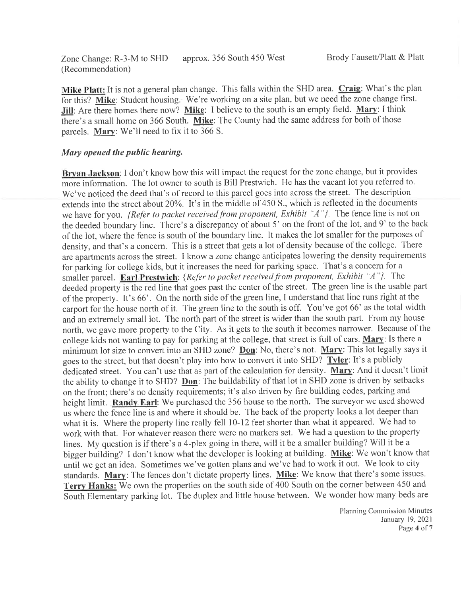Zone Change: R-3-M to SHD approx. 356 South 450 West (Recommendation)

Mike Platt: It is not a general plan change. This falls within the SHD area. Craig: What's the plan for this? Mike: Student housing. We're working on a site plan, but we need the zone change first. Jill: Are there homes there now? Mike: I believe to the south is an empty field. Mary: I think there's a small home on 366 South. Mike: The County had the same address for both of those parcels. Mary: We'll need to fix it to 366 S.

#### Mary opened the public hearing.

Bryan Jackson: I don't know how this will impact the request for the zone change, but it provides more information. The lot owner to south is Bill Prestwich. He has the vacant lot you referred to. We've noticed the deed that's of record to this parcel goes into across the street. The description extends into the street about 20%. It's in the middle of 450 S., which is reflected in the documents we have for you. {Refer to packet received from proponent, Exhibit " $A$ "}. The fence line is not on the deeded boundary line. There's a discrepancy of about 5' on the front of the lot, and 9' to the back of the lot, where the fence is south of the boundary line. It makes the lot smaller for the purposes of density, and that's a concern. This is a street that gets a lot of density because of the college. There are apartments across the street. I know a zone change anticipates lowering the density requirements for parking for college kids, but it increases the need for parking space. That's a concern for <sup>a</sup> smaller parcel. Earl Prestwich: {Refer to packet received from proponent, Exhibit "A"}. The deeded property is the red line that goes past the center of the street. The green line is the usable part of the property. It's 66'. On the north side of the green line, I understand that line runs right at the carport for the house north of it. The green line to the south is off. You've got 66' as the total width and an extremely small lot. The north part of the street is wider than the south part. From my house north, we gave more property to the City. As it gets to the south it becomes narrower. Because of the college kids not wanting to pay for parking at the college, that street is full of cars. Mary: Is there a minimum lot size to convert into an SHD zone? Don: No, there's not. Mary: This lot legally says it goes to the street, but that doesn't play into how to convert it into SHD? Tyler: It's a publicly dedicated street. You can't use that as part of the calculation for density. Mary: And it doesn't limit the ability to change it to SHD? Don: The buildability of that lot in SHD zone is driven by setbacks on the front; there's no density requirements; it's also driven by fire building codes, parking and height limit. Randv Earl: We purchased the 356 house to the north. The surveyor we used showed us where the fence line is and where it should be. The back of the property looks a lot deeper than what it is. Where the property line really fell 10-12 feet shorter than what it appeared. We had to work with that. For whatever reason there were no markers set. We had a question to the property lines. My question is if there's a 4-plex going in there, will it be a smaller building? Will it be <sup>a</sup> bigger building? I don't know what the developer is looking at building. Mike: We won't know that until we get an idea. Sometimes we've gotten plans and we've had to work it out. We look to city standards. Mary: The fences don't dictate property lines. Mike: We know that there's some issues. Terry Hanks: We own the properties on the south side of  $\overline{400}$  South on the corner between 450 and South Elementary parking lot. The duplex and little house between. We wonder how many beds are

> Planning Commission Minutes January 19,2021 Page 4 of 7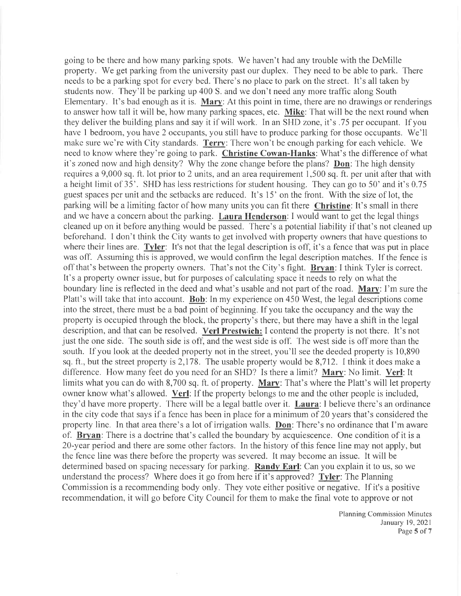going to be there and how many parking spots. We haven't had any trouble with the DeMille property. We get parking from the university past our duplex. They need to be able to park. There needs to be a parking spot for every bed. There's no place to park on the street. It's all taken by students now. They'll be parking up 400 S. and we don't need any more traffic along South Elementary. It's bad enough as it is. Mary: At this point in time, there are no drawings or renderings to answer how tall it will be, how many parking spaces, etc. Mike: That will be the next round when they deliver the building plans and say it if will work. In an SHD zone, it's .75 per occupant. If you have I bedroom, you have 2 occupants, you still have to produce parking for those occupants. We'll make sure we're with City standards. Terry: There won't be enough parking for each vehicle. We need to know where they're going to park. Christine Cowan-Hanks: What's the difference of what it's zoned now and high density? Why the zone change before the plans? Don: The high density requires a 9,000 sq. ft. lot prior to 2 units, and an area requirement 1,500 sq. ft. per unit after that with a height limit of 35'. SHD has less restrictions for student housing. They can go to 50' and it's 0.75 guest spaces per unit and the setbacks are reduced. It's 15' on the front. With the size of lot, the parking will be a limiting factor of how many units you can fit there Christine: It's small in there and we have a concern about the parking. Laura Henderson: I would want to get the legal things cleaned up on it before anything would be passed. There's a potential liability if that's not cleaned up beforehand. I don't think the City wants to get involved with property owners that have questions to where their lines are. Tyler: It's not that the legal description is off, it's a fence that was put in place was off. Assuming this is approved, we would confirm the legal description matches. If the fence is off that's between the property owners. That's not the City's fight. Brvan: I think Tyler is correct. It's a property owner issue, but for purposes of calculating space it needs to rely on what the boundary line is reflected in the deed and what's usable and not part of the road. Mary: I'm sure the Platt's will take that into account. Bob: In my experience on 450 West, the legal descriptions come into the street, there must be a bad point of beginning. If you take the occupancy and the way the property is occupied through the block, the property's there, but there may have a shift in the legal description, and that can be resolved. Verl Prestwich: I contend the property is not there. It's not just the one side. The south side is off, and the west side is off. The west side is off more than the south. If you look at the deeded property not in the street, you'll see the deeded property is 10,890 sq. ft., but the street property is 2,178. The usable property would be 8,712. I think it does make a difference. How many feet do you need for an SHD? Is there a limit? Mary: No limit. Verl: It limits what you can do with 8,700 sq. ft. of property. **Mary**: That's where the Platt's will let property owner know what's allowed. Verl: If the property belongs to me and the other people is included, they'd have more property. There will be a legal battle over it. Laura: I believe there's an ordinance in the city code that says if a fence has been in place for a minimum of 20 years that's considered the property line. In that area there's a lot of irrigation walls. **Don**: There's no ordinance that I'm aware of. Brvan: There is a doctrine that's called the boundary by acquiescence. One condition of it is <sup>a</sup> 2)-year period and there are some other factors. In the history of this fence line may not apply, but the fence line was there before the property was severed. It may become an issue. It will be determined based on spacing necessary for parking. Randy Earl: Can you explain it to us, so we understand the process? Where does it go from here if it's approved? Tyler: The Planning Commission is a recommending body only. They vote either positive or negative. If it's a positive recommendation, it will go before City Council for them to make the final vote to approve or not

> Planning Commission Minutes January 19,2021 Page 5 of 7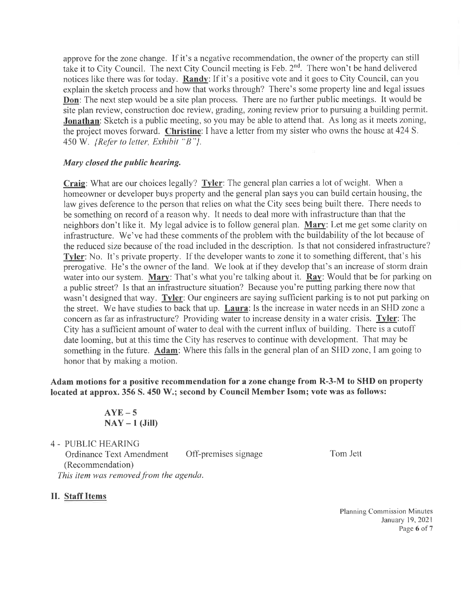approve for the zone change. If it's a negative recommendation, the owner of the property can still take it to City Council. The next City Council meeting is Feb. 2"d. There won't be hand delivered notices like there was for today. Randv: If it's a positive vote and it goes to City Council, can you explain the sketch process and how that works through? There's some property line and legal issues **Don**: The next step would be a site plan process. There are no further public meetings. It would be site plan review, construction doc review, grading, zoning review prior to pursuing a building permit. **Jonathan**: Sketch is a public meeting, so you may be able to attend that. As long as it meets zoning, the project moves forward. Christine: I have a letter from my sister who owns the house at 424 S.  $450$  W. {Refer to letter, Exhibit " $B$ "}.

## Mary closed the public hearing.

Craig: What are our choices legally? Tyler: The general plan carries a lot of weight. When a homeowner or developer buys property and the general plan says you can build certain housing, the law gives deference to the person that relies on what the City sees being built there. There needs to be something on record of a reason why. It needs to deal more with infiastructure than that the neighbors don't like it. My legal advice is to follow general plan. Mary: Let me get some clarity on infrastructure. We've had these comments of the problem with the buildability of the lot because of the reduced size because of the road included in the description. Is that not considered infrastructure? Tyler: No. It's private property. If the developer wants to zone it to something different, that's his prerogative. He's the owner of the land. We look at if they develop that's an increase of storm drain water into our system. Mary: That's what you're talking about it.  $\mathbf{Ray}$ : Would that be for parking on a public street? Is that an infrastructure situation? Because you're putting parking there now that wasn't designed that way. Tyler: Our engineers are saying sufficient parking is to not put parking on the street. We have studies to back that up. Laura: Is the increase in water needs in an SHD zone a concern as far as infrastructure? Providing water to increase density in a water crisis. Tyler: The City has a sufficient amount of water to deal with the current influx of building. There is a cutoff date looming, but at this time the City has reserves to continue with development. That may be something in the future. Adam: Where this falls in the general plan of an SHD zone, I am going to honor that by making a motion.

## Adam motions for a positive recommendation for a zone change from R-3-M to SHD on property located at approx. 356 S. 450 W.; second by Council Member Isom; vote was as follows:

 $AYE-5$  $\text{NAY} - 1$  (Jill)

<sup>4</sup>- PUBLIC HEARING

Ordinance Text Amendment Off-premises signage (Recommendation) This item was removed from the agenda.

Tom.lett

### II. Staff Items

Planning Commission Minutes January 19, 2021 Page 6 of 7